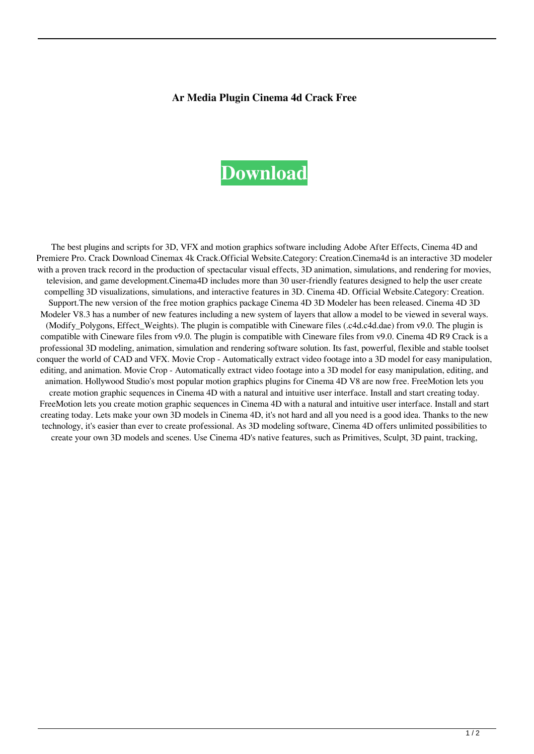## **Ar Media Plugin Cinema 4d Crack Free**

## **[Download](http://evacdir.com/entrez/?inactivates=ZG93bmxvYWR8d1c2TW01d2VueDhNVFkxTWpjME1EZzJObng4TWpVM05IeDhLRTBwSUhKbFlXUXRZbXh2WnlCYlJtRnpkQ0JIUlU1ZA.logbook&YXIgbWVkaWEgcGx1Z2luIGNpbmVtYSA0ZCBjcmFjayBmcmVlYXI=historical.shootouts)**

The best plugins and scripts for 3D, VFX and motion graphics software including Adobe After Effects, Cinema 4D and Premiere Pro. Crack Download Cinemax 4k Crack.Official Website.Category: Creation.Cinema4d is an interactive 3D modeler with a proven track record in the production of spectacular visual effects, 3D animation, simulations, and rendering for movies, television, and game development.Cinema4D includes more than 30 user-friendly features designed to help the user create compelling 3D visualizations, simulations, and interactive features in 3D. Cinema 4D. Official Website.Category: Creation. Support.The new version of the free motion graphics package Cinema 4D 3D Modeler has been released. Cinema 4D 3D Modeler V8.3 has a number of new features including a new system of layers that allow a model to be viewed in several ways. (Modify Polygons, Effect Weights). The plugin is compatible with Cineware files (.c4d.c4d.dae) from v9.0. The plugin is compatible with Cineware files from v9.0. The plugin is compatible with Cineware files from v9.0. Cinema 4D R9 Crack is a professional 3D modeling, animation, simulation and rendering software solution. Its fast, powerful, flexible and stable toolset conquer the world of CAD and VFX. Movie Crop - Automatically extract video footage into a 3D model for easy manipulation, editing, and animation. Movie Crop - Automatically extract video footage into a 3D model for easy manipulation, editing, and animation. Hollywood Studio's most popular motion graphics plugins for Cinema 4D V8 are now free. FreeMotion lets you create motion graphic sequences in Cinema 4D with a natural and intuitive user interface. Install and start creating today. FreeMotion lets you create motion graphic sequences in Cinema 4D with a natural and intuitive user interface. Install and start creating today. Lets make your own 3D models in Cinema 4D, it's not hard and all you need is a good idea. Thanks to the new technology, it's easier than ever to create professional. As 3D modeling software, Cinema 4D offers unlimited possibilities to create your own 3D models and scenes. Use Cinema 4D's native features, such as Primitives, Sculpt, 3D paint, tracking,